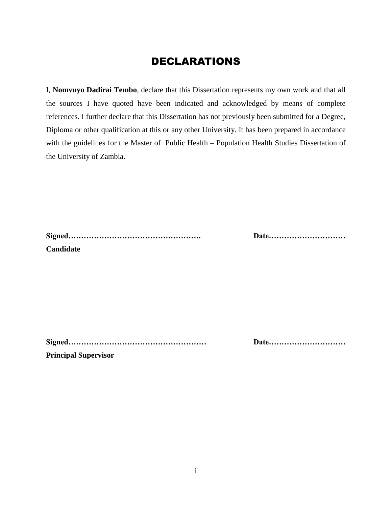#### DECLARATIONS

I, **Nomvuyo Dadirai Tembo**, declare that this Dissertation represents my own work and that all the sources I have quoted have been indicated and acknowledged by means of complete references. I further declare that this Dissertation has not previously been submitted for a Degree, Diploma or other qualification at this or any other University. It has been prepared in accordance with the guidelines for the Master of Public Health – Population Health Studies Dissertation of the University of Zambia.

| Candidate |  |  |
|-----------|--|--|

**Signed……………………………………………. Date…………………………**

**Signed……………………………………………… Date…………………………**

**Principal Supervisor**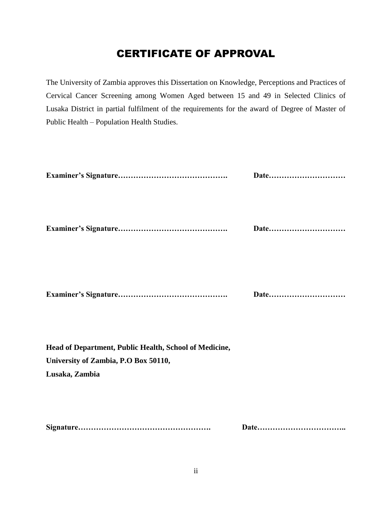### CERTIFICATE OF APPROVAL

The University of Zambia approves this Dissertation on Knowledge, Perceptions and Practices of Cervical Cancer Screening among Women Aged between 15 and 49 in Selected Clinics of Lusaka District in partial fulfilment of the requirements for the award of Degree of Master of Public Health – Population Health Studies.

|                                                                                                                  | Date |
|------------------------------------------------------------------------------------------------------------------|------|
|                                                                                                                  | Date |
|                                                                                                                  | Date |
| Head of Department, Public Health, School of Medicine,<br>University of Zambia, P.O Box 50110,<br>Lusaka, Zambia |      |
|                                                                                                                  |      |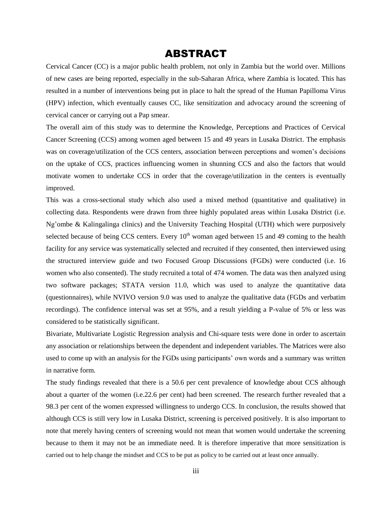#### ABSTRACT

Cervical Cancer (CC) is a major public health problem, not only in Zambia but the world over. Millions of new cases are being reported, especially in the sub-Saharan Africa, where Zambia is located. This has resulted in a number of interventions being put in place to halt the spread of the Human Papilloma Virus (HPV) infection, which eventually causes CC, like sensitization and advocacy around the screening of cervical cancer or carrying out a Pap smear.

The overall aim of this study was to determine the Knowledge, Perceptions and Practices of Cervical Cancer Screening (CCS) among women aged between 15 and 49 years in Lusaka District. The emphasis was on coverage/utilization of the CCS centers, association between perceptions and women's decisions on the uptake of CCS, practices influencing women in shunning CCS and also the factors that would motivate women to undertake CCS in order that the coverage/utilization in the centers is eventually improved.

This was a cross-sectional study which also used a mixed method (quantitative and qualitative) in collecting data. Respondents were drawn from three highly populated areas within Lusaka District (i.e. Ng'ombe & Kalingalinga clinics) and the University Teaching Hospital (UTH) which were purposively selected because of being CCS centers. Every  $10<sup>th</sup>$  woman aged between 15 and 49 coming to the health facility for any service was systematically selected and recruited if they consented, then interviewed using the structured interview guide and two Focused Group Discussions (FGDs) were conducted (i.e. 16 women who also consented). The study recruited a total of 474 women. The data was then analyzed using two software packages; STATA version 11.0, which was used to analyze the quantitative data (questionnaires), while NVIVO version 9.0 was used to analyze the qualitative data (FGDs and verbatim recordings). The confidence interval was set at 95%, and a result yielding a P-value of 5% or less was considered to be statistically significant.

Bivariate, Multivariate Logistic Regression analysis and Chi-square tests were done in order to ascertain any association or relationships between the dependent and independent variables. The Matrices were also used to come up with an analysis for the FGDs using participants' own words and a summary was written in narrative form.

The study findings revealed that there is a 50.6 per cent prevalence of knowledge about CCS although about a quarter of the women (i.e.22.6 per cent) had been screened. The research further revealed that a 98.3 per cent of the women expressed willingness to undergo CCS. In conclusion, the results showed that although CCS is still very low in Lusaka District, screening is perceived positively. It is also important to note that merely having centers of screening would not mean that women would undertake the screening because to them it may not be an immediate need. It is therefore imperative that more sensitization is carried out to help change the mindset and CCS to be put as policy to be carried out at least once annually.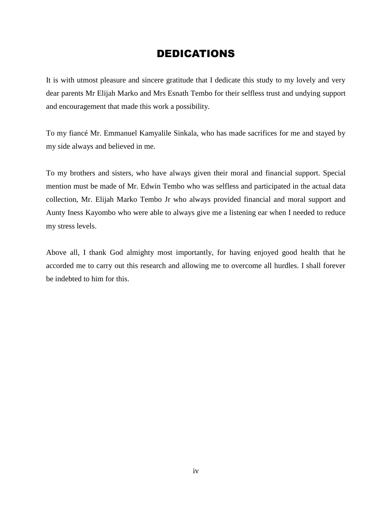#### DEDICATIONS

It is with utmost pleasure and sincere gratitude that I dedicate this study to my lovely and very dear parents Mr Elijah Marko and Mrs Esnath Tembo for their selfless trust and undying support and encouragement that made this work a possibility.

To my fiancé Mr. Emmanuel Kamyalile Sinkala, who has made sacrifices for me and stayed by my side always and believed in me.

To my brothers and sisters, who have always given their moral and financial support. Special mention must be made of Mr. Edwin Tembo who was selfless and participated in the actual data collection, Mr. Elijah Marko Tembo Jr who always provided financial and moral support and Aunty Iness Kayombo who were able to always give me a listening ear when I needed to reduce my stress levels.

Above all, I thank God almighty most importantly, for having enjoyed good health that he accorded me to carry out this research and allowing me to overcome all hurdles. I shall forever be indebted to him for this.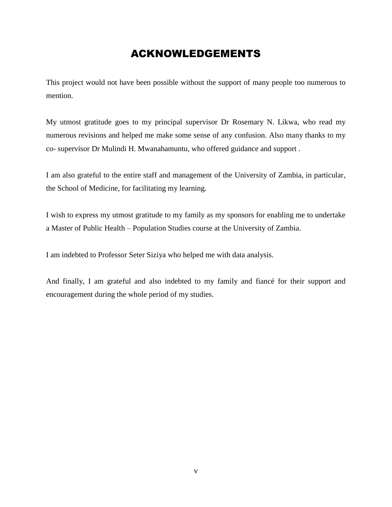### ACKNOWLEDGEMENTS

This project would not have been possible without the support of many people too numerous to mention.

My utmost gratitude goes to my principal supervisor Dr Rosemary N. Likwa, who read my numerous revisions and helped me make some sense of any confusion. Also many thanks to my co- supervisor Dr Mulindi H. Mwanahamuntu, who offered guidance and support .

I am also grateful to the entire staff and management of the University of Zambia, in particular, the School of Medicine, for facilitating my learning.

I wish to express my utmost gratitude to my family as my sponsors for enabling me to undertake a Master of Public Health – Population Studies course at the University of Zambia.

I am indebted to Professor Seter Siziya who helped me with data analysis.

And finally, I am grateful and also indebted to my family and fiancé for their support and encouragement during the whole period of my studies.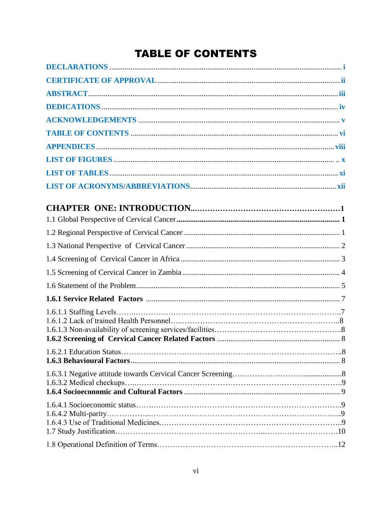# **TABLE OF CONTENTS**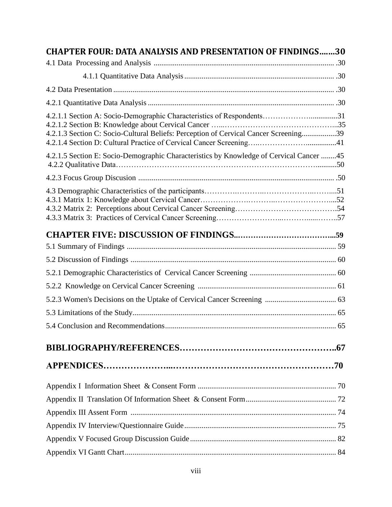| <b>CHAPTER FOUR: DATA ANALYSIS AND PRESENTATION OF FINDINGS30</b>                                                                                             |  |
|---------------------------------------------------------------------------------------------------------------------------------------------------------------|--|
|                                                                                                                                                               |  |
|                                                                                                                                                               |  |
|                                                                                                                                                               |  |
|                                                                                                                                                               |  |
| 4.2.1.1 Section A: Socio-Demographic Characteristics of Respondents31<br>4.2.1.3 Section C: Socio-Cultural Beliefs: Perception of Cervical Cancer Screening39 |  |
| 4.2.1.5 Section E: Socio-Demographic Characteristics by Knowledge of Cervical Cancer 45                                                                       |  |
|                                                                                                                                                               |  |
|                                                                                                                                                               |  |
|                                                                                                                                                               |  |
|                                                                                                                                                               |  |
|                                                                                                                                                               |  |
|                                                                                                                                                               |  |
|                                                                                                                                                               |  |
|                                                                                                                                                               |  |
|                                                                                                                                                               |  |
|                                                                                                                                                               |  |
|                                                                                                                                                               |  |
|                                                                                                                                                               |  |
|                                                                                                                                                               |  |
|                                                                                                                                                               |  |
|                                                                                                                                                               |  |
|                                                                                                                                                               |  |
|                                                                                                                                                               |  |
|                                                                                                                                                               |  |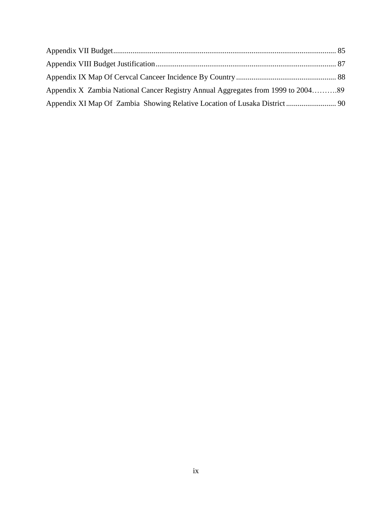| Appendix X Zambia National Cancer Registry Annual Aggregates from 1999 to 200489 |  |
|----------------------------------------------------------------------------------|--|
|                                                                                  |  |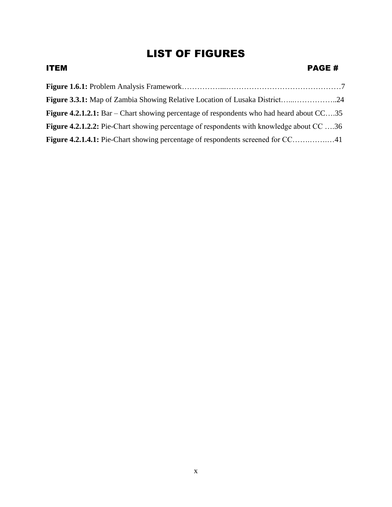## LIST OF FIGURES

| <b>PAGE#</b>                                                                                      |
|---------------------------------------------------------------------------------------------------|
|                                                                                                   |
|                                                                                                   |
| <b>Figure 4.2.1.2.1:</b> Bar – Chart showing percentage of respondents who had heard about $CC35$ |
| <b>Figure 4.2.1.2.2:</b> Pie-Chart showing percentage of respondents with knowledge about CC 36   |
| Figure 4.2.1.4.1: Pie-Chart showing percentage of respondents screened for CC41                   |
|                                                                                                   |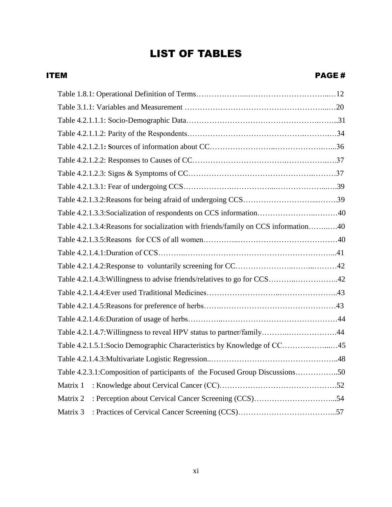ITEM PAGE #

| Table 4.2.1.3.3: Socialization of respondents on CCS information40                  |  |
|-------------------------------------------------------------------------------------|--|
| Table 4.2.1.3.4: Reasons for socialization with friends/family on CCS information40 |  |
|                                                                                     |  |
|                                                                                     |  |
|                                                                                     |  |
| Table 4.2.1.4.3: Willingness to advise friends/relatives to go for CCS42            |  |
|                                                                                     |  |
|                                                                                     |  |
|                                                                                     |  |
| Table 4.2.1.4.7: Willingness to reveal HPV status to partner/family44               |  |
| Table 4.2.1.5.1: Socio Demographic Characteristics by Knowledge of CC45             |  |
|                                                                                     |  |
| Table 4.2.3.1: Composition of participants of the Focused Group Discussions50       |  |
| Matrix 1                                                                            |  |
| Matrix 2                                                                            |  |
| Matrix 3                                                                            |  |